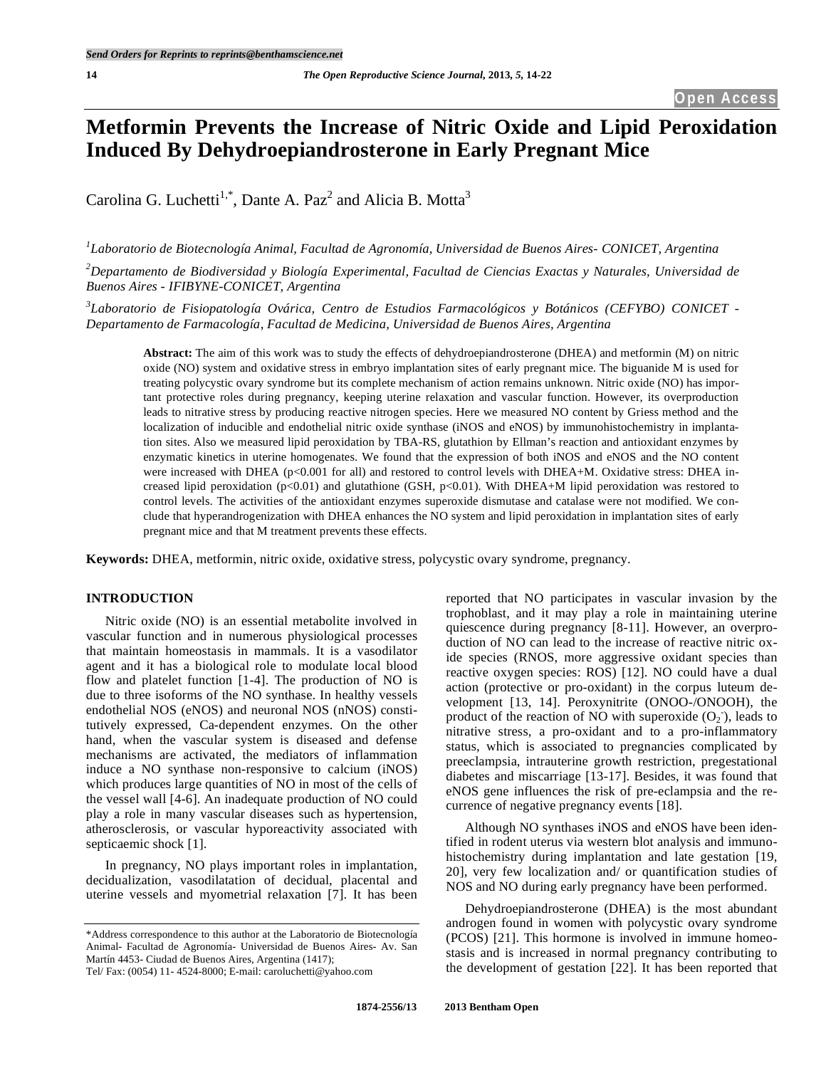# **Metformin Prevents the Increase of Nitric Oxide and Lipid Peroxidation Induced By Dehydroepiandrosterone in Early Pregnant Mice**

Carolina G. Luchetti<sup>1,\*</sup>, Dante A. Paz<sup>2</sup> and Alicia B. Motta<sup>3</sup>

*1 Laboratorio de Biotecnología Animal, Facultad de Agronomía, Universidad de Buenos Aires- CONICET, Argentina*

*2 Departamento de Biodiversidad y Biología Experimental, Facultad de Ciencias Exactas y Naturales, Universidad de Buenos Aires - IFIBYNE-CONICET, Argentina*

*3 Laboratorio de Fisiopatología Ovárica, Centro de Estudios Farmacológicos y Botánicos (CEFYBO) CONICET - Departamento de Farmacología, Facultad de Medicina, Universidad de Buenos Aires, Argentina*

**Abstract:** The aim of this work was to study the effects of dehydroepiandrosterone (DHEA) and metformin (M) on nitric oxide (NO) system and oxidative stress in embryo implantation sites of early pregnant mice. The biguanide M is used for treating polycystic ovary syndrome but its complete mechanism of action remains unknown. Nitric oxide (NO) has important protective roles during pregnancy, keeping uterine relaxation and vascular function. However, its overproduction leads to nitrative stress by producing reactive nitrogen species. Here we measured NO content by Griess method and the localization of inducible and endothelial nitric oxide synthase (iNOS and eNOS) by immunohistochemistry in implantation sites. Also we measured lipid peroxidation by TBA-RS, glutathion by Ellman's reaction and antioxidant enzymes by enzymatic kinetics in uterine homogenates. We found that the expression of both iNOS and eNOS and the NO content were increased with DHEA (p<0.001 for all) and restored to control levels with DHEA+M. Oxidative stress: DHEA increased lipid peroxidation (p<0.01) and glutathione (GSH, p<0.01). With DHEA+M lipid peroxidation was restored to control levels. The activities of the antioxidant enzymes superoxide dismutase and catalase were not modified. We conclude that hyperandrogenization with DHEA enhances the NO system and lipid peroxidation in implantation sites of early pregnant mice and that M treatment prevents these effects.

**Keywords:** DHEA, metformin, nitric oxide, oxidative stress, polycystic ovary syndrome, pregnancy.

# **INTRODUCTION**

Nitric oxide (NO) is an essential metabolite involved in vascular function and in numerous physiological processes that maintain homeostasis in mammals. It is a vasodilator agent and it has a biological role to modulate local blood flow and platelet function [1-4]. The production of NO is due to three isoforms of the NO synthase. In healthy vessels endothelial NOS (eNOS) and neuronal NOS (nNOS) constitutively expressed, Ca-dependent enzymes. On the other hand, when the vascular system is diseased and defense mechanisms are activated, the mediators of inflammation induce a NO synthase non-responsive to calcium (iNOS) which produces large quantities of NO in most of the cells of the vessel wall [4-6]. An inadequate production of NO could play a role in many vascular diseases such as hypertension, atherosclerosis, or vascular hyporeactivity associated with septicaemic shock [1].

In pregnancy, NO plays important roles in implantation, decidualization, vasodilatation of decidual, placental and uterine vessels and myometrial relaxation [7]. It has been reported that NO participates in vascular invasion by the trophoblast, and it may play a role in maintaining uterine quiescence during pregnancy [8-11]. However, an overproduction of NO can lead to the increase of reactive nitric oxide species (RNOS, more aggressive oxidant species than reactive oxygen species: ROS) [12]. NO could have a dual action (protective or pro-oxidant) in the corpus luteum development [13, 14]. Peroxynitrite (ONOO-/ONOOH), the product of the reaction of NO with superoxide  $(O_2)$ , leads to nitrative stress, a pro-oxidant and to a pro-inflammatory status, which is associated to pregnancies complicated by preeclampsia, intrauterine growth restriction, pregestational diabetes and miscarriage [13-17]. Besides, it was found that eNOS gene influences the risk of pre-eclampsia and the recurrence of negative pregnancy events [18].

Although NO synthases iNOS and eNOS have been identified in rodent uterus via western blot analysis and immunohistochemistry during implantation and late gestation [19, 20], very few localization and/ or quantification studies of NOS and NO during early pregnancy have been performed.

Dehydroepiandrosterone (DHEA) is the most abundant androgen found in women with polycystic ovary syndrome (PCOS) [21]. This hormone is involved in immune homeostasis and is increased in normal pregnancy contributing to the development of gestation [22]. It has been reported that

<sup>\*</sup>Address correspondence to this author at the Laboratorio de Biotecnología Animal- Facultad de Agronomía- Universidad de Buenos Aires- Av. San Martín 4453- Ciudad de Buenos Aires, Argentina (1417); Tel/ Fax: (0054) 11- 4524-8000; E-mail: caroluchetti@yahoo.com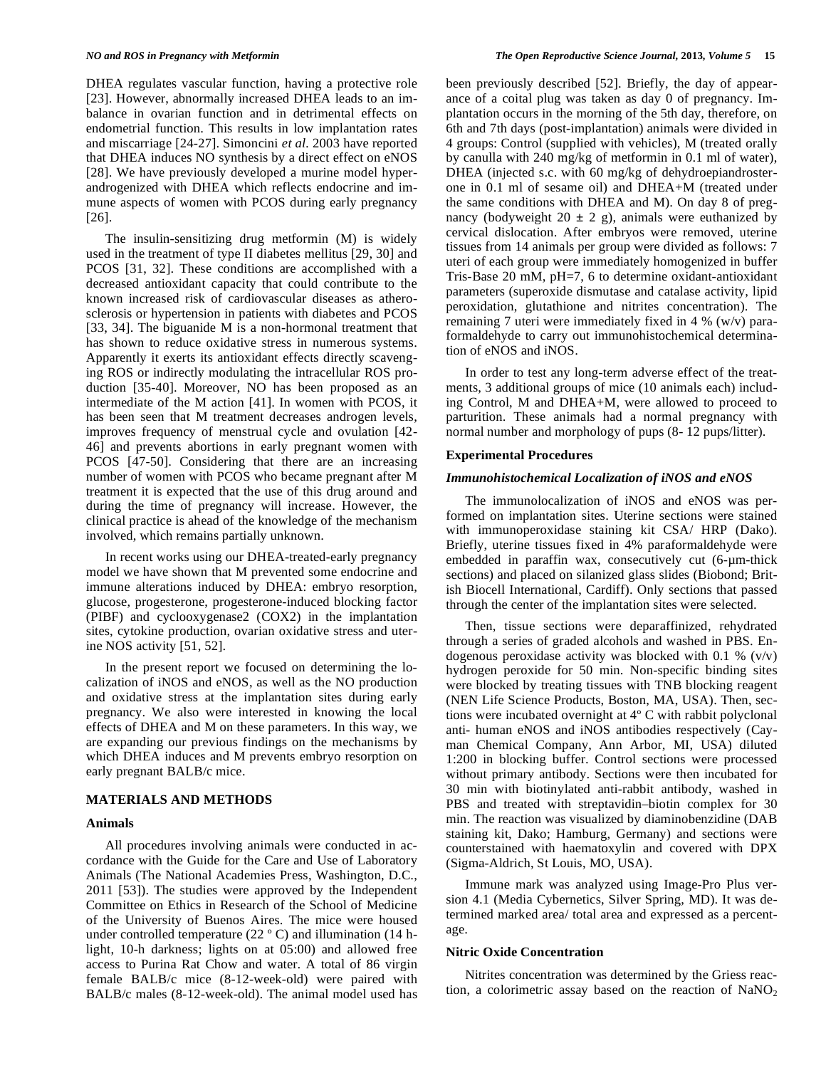DHEA regulates vascular function, having a protective role [23]. However, abnormally increased DHEA leads to an imbalance in ovarian function and in detrimental effects on endometrial function. This results in low implantation rates and miscarriage [24-27]. Simoncini *et al.* 2003 have reported that DHEA induces NO synthesis by a direct effect on eNOS [28]. We have previously developed a murine model hyperandrogenized with DHEA which reflects endocrine and immune aspects of women with PCOS during early pregnancy [26].

The insulin-sensitizing drug metformin (M) is widely used in the treatment of type II diabetes mellitus [29, 30] and PCOS [31, 32]. These conditions are accomplished with a decreased antioxidant capacity that could contribute to the known increased risk of cardiovascular diseases as atherosclerosis or hypertension in patients with diabetes and PCOS [33, 34]. The biguanide M is a non-hormonal treatment that has shown to reduce oxidative stress in numerous systems. Apparently it exerts its antioxidant effects directly scavenging ROS or indirectly modulating the intracellular ROS production [35-40]. Moreover, NO has been proposed as an intermediate of the M action [41]. In women with PCOS, it has been seen that M treatment decreases androgen levels, improves frequency of menstrual cycle and ovulation [42- 46] and prevents abortions in early pregnant women with PCOS [47-50]. Considering that there are an increasing number of women with PCOS who became pregnant after M treatment it is expected that the use of this drug around and during the time of pregnancy will increase. However, the clinical practice is ahead of the knowledge of the mechanism involved, which remains partially unknown.

In recent works using our DHEA-treated-early pregnancy model we have shown that M prevented some endocrine and immune alterations induced by DHEA: embryo resorption, glucose, progesterone, progesterone-induced blocking factor (PIBF) and cyclooxygenase2 (COX2) in the implantation sites, cytokine production, ovarian oxidative stress and uterine NOS activity [51, 52].

In the present report we focused on determining the localization of iNOS and eNOS, as well as the NO production and oxidative stress at the implantation sites during early pregnancy. We also were interested in knowing the local effects of DHEA and M on these parameters. In this way, we are expanding our previous findings on the mechanisms by which DHEA induces and M prevents embryo resorption on early pregnant BALB/c mice.

#### **MATERIALS AND METHODS**

# **Animals**

All procedures involving animals were conducted in accordance with the Guide for the Care and Use of Laboratory Animals (The National Academies Press, Washington, D.C., 2011 [53]). The studies were approved by the Independent Committee on Ethics in Research of the School of Medicine of the University of Buenos Aires. The mice were housed under controlled temperature (22 º C) and illumination (14 hlight, 10-h darkness; lights on at 05:00) and allowed free access to Purina Rat Chow and water. A total of 86 virgin female BALB/c mice (8-12-week-old) were paired with BALB/c males (8-12-week-old). The animal model used has been previously described [52]. Briefly, the day of appearance of a coital plug was taken as day 0 of pregnancy. Implantation occurs in the morning of the 5th day, therefore, on 6th and 7th days (post-implantation) animals were divided in 4 groups: Control (supplied with vehicles), M (treated orally by canulla with 240 mg/kg of metformin in 0.1 ml of water), DHEA (injected s.c. with 60 mg/kg of dehydroepiandrosterone in 0.1 ml of sesame oil) and DHEA+M (treated under the same conditions with DHEA and M). On day 8 of pregnancy (bodyweight  $20 \pm 2$  g), animals were euthanized by cervical dislocation. After embryos were removed, uterine tissues from 14 animals per group were divided as follows: 7 uteri of each group were immediately homogenized in buffer Tris-Base 20 mM, pH=7, 6 to determine oxidant-antioxidant parameters (superoxide dismutase and catalase activity, lipid peroxidation, glutathione and nitrites concentration). The remaining 7 uteri were immediately fixed in 4 % (w/v) paraformaldehyde to carry out immunohistochemical determination of eNOS and iNOS.

In order to test any long-term adverse effect of the treatments, 3 additional groups of mice (10 animals each) including Control, M and DHEA+M, were allowed to proceed to parturition. These animals had a normal pregnancy with normal number and morphology of pups (8- 12 pups/litter).

#### **Experimental Procedures**

# *Immunohistochemical Localization of iNOS and eNOS*

The immunolocalization of iNOS and eNOS was performed on implantation sites. Uterine sections were stained with immunoperoxidase staining kit CSA/ HRP (Dako). Briefly, uterine tissues fixed in 4% paraformaldehyde were embedded in paraffin wax, consecutively cut (6-µm-thick sections) and placed on silanized glass slides (Biobond; British Biocell International, Cardiff). Only sections that passed through the center of the implantation sites were selected.

Then, tissue sections were deparaffinized, rehydrated through a series of graded alcohols and washed in PBS. Endogenous peroxidase activity was blocked with 0.1 %  $(v/v)$ hydrogen peroxide for 50 min. Non-specific binding sites were blocked by treating tissues with TNB blocking reagent (NEN Life Science Products, Boston, MA, USA). Then, sections were incubated overnight at 4º C with rabbit polyclonal anti- human eNOS and iNOS antibodies respectively (Cayman Chemical Company, Ann Arbor, MI, USA) diluted 1:200 in blocking buffer. Control sections were processed without primary antibody. Sections were then incubated for 30 min with biotinylated anti-rabbit antibody, washed in PBS and treated with streptavidin–biotin complex for 30 min. The reaction was visualized by diaminobenzidine (DAB staining kit, Dako; Hamburg, Germany) and sections were counterstained with haematoxylin and covered with DPX (Sigma-Aldrich, St Louis, MO, USA).

Immune mark was analyzed using Image-Pro Plus version 4.1 (Media Cybernetics, Silver Spring, MD). It was determined marked area/ total area and expressed as a percentage.

#### **Nitric Oxide Concentration**

Nitrites concentration was determined by the Griess reaction, a colorimetric assay based on the reaction of  $NaNO<sub>2</sub>$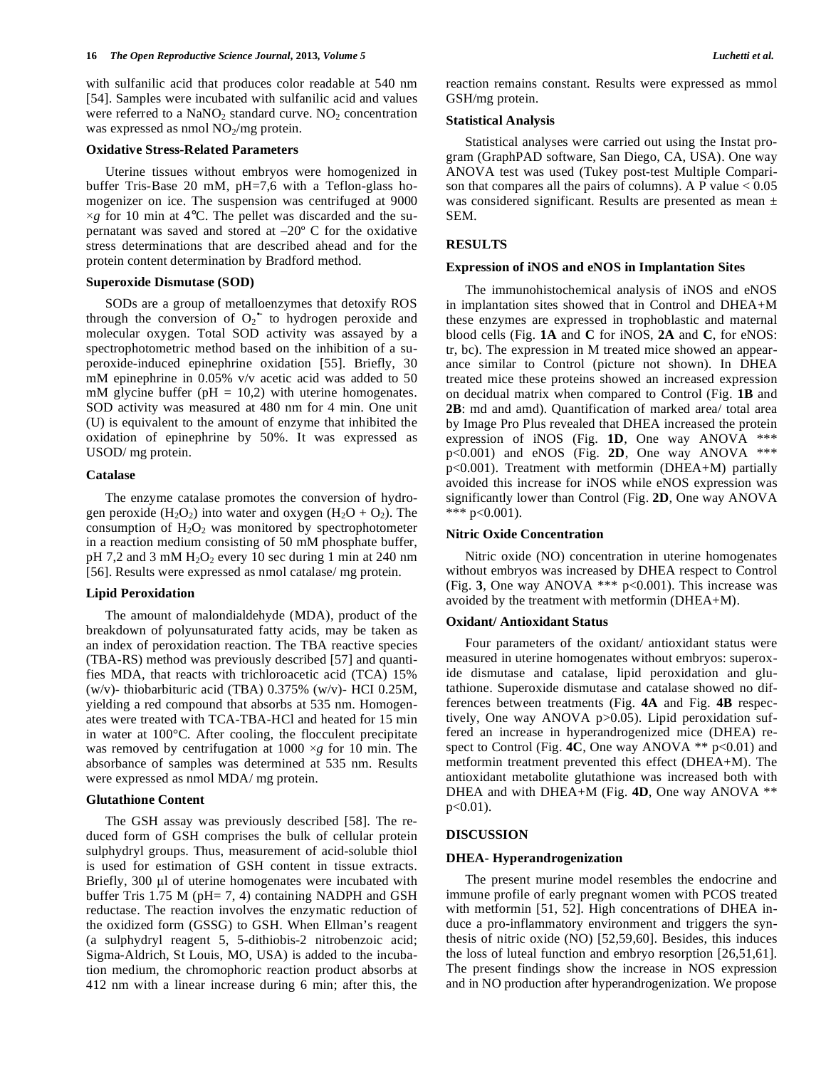with sulfanilic acid that produces color readable at 540 nm [54]. Samples were incubated with sulfanilic acid and values were referred to a  $NaNO<sub>2</sub>$  standard curve.  $NO<sub>2</sub>$  concentration was expressed as nmol  $NO<sub>2</sub>/mg$  protein.

# **Oxidative Stress-Related Parameters**

Uterine tissues without embryos were homogenized in buffer Tris-Base 20 mM, pH=7,6 with a Teflon-glass homogenizer on ice. The suspension was centrifuged at 9000  $\times$ *g* for 10 min at 4 $\degree$ C. The pellet was discarded and the supernatant was saved and stored at  $-20^{\circ}$  C for the oxidative stress determinations that are described ahead and for the protein content determination by Bradford method.

# **Superoxide Dismutase (SOD)**

SODs are a group of metalloenzymes that detoxify ROS through the conversion of  $O_2$  to hydrogen peroxide and molecular oxygen. Total SOD activity was assayed by a spectrophotometric method based on the inhibition of a superoxide-induced epinephrine oxidation [55]. Briefly, 30 mM epinephrine in 0.05% v/v acetic acid was added to 50 mM glycine buffer ( $pH = 10,2$ ) with uterine homogenates. SOD activity was measured at 480 nm for 4 min. One unit (U) is equivalent to the amount of enzyme that inhibited the oxidation of epinephrine by 50%. It was expressed as USOD/ mg protein.

## **Catalase**

The enzyme catalase promotes the conversion of hydrogen peroxide  $(H_2O_2)$  into water and oxygen  $(H_2O + O_2)$ . The consumption of  $H_2O_2$  was monitored by spectrophotometer in a reaction medium consisting of 50 mM phosphate buffer, pH 7,2 and 3 mM  $H_2O_2$  every 10 sec during 1 min at 240 nm [56]. Results were expressed as nmol catalase/ mg protein.

#### **Lipid Peroxidation**

The amount of malondialdehyde (MDA), product of the breakdown of polyunsaturated fatty acids, may be taken as an index of peroxidation reaction. The TBA reactive species (TBA-RS) method was previously described [57] and quantifies MDA, that reacts with trichloroacetic acid (TCA) 15% (w/v)- thiobarbituric acid (TBA) 0.375% (w/v)- HCI 0.25M, yielding a red compound that absorbs at 535 nm. Homogenates were treated with TCA-TBA-HCl and heated for 15 min in water at 100°C. After cooling, the flocculent precipitate was removed by centrifugation at 1000 ×*g* for 10 min. The absorbance of samples was determined at 535 nm. Results were expressed as nmol MDA/ mg protein.

#### **Glutathione Content**

The GSH assay was previously described [58]. The reduced form of GSH comprises the bulk of cellular protein sulphydryl groups. Thus, measurement of acid-soluble thiol is used for estimation of GSH content in tissue extracts. Briefly, 300 µl of uterine homogenates were incubated with buffer Tris 1.75 M (pH= 7, 4) containing NADPH and GSH reductase. The reaction involves the enzymatic reduction of the oxidized form (GSSG) to GSH. When Ellman's reagent (a sulphydryl reagent 5, 5-dithiobis-2 nitrobenzoic acid; Sigma-Aldrich, St Louis, MO, USA) is added to the incubation medium, the chromophoric reaction product absorbs at 412 nm with a linear increase during 6 min; after this, the reaction remains constant. Results were expressed as mmol GSH/mg protein.

## **Statistical Analysis**

Statistical analyses were carried out using the Instat program (GraphPAD software, San Diego, CA, USA). One way ANOVA test was used (Tukey post-test Multiple Comparison that compares all the pairs of columns). A P value  $< 0.05$ was considered significant. Results are presented as mean  $\pm$ SEM.

#### **RESULTS**

# **Expression of iNOS and eNOS in Implantation Sites**

The immunohistochemical analysis of iNOS and eNOS in implantation sites showed that in Control and DHEA+M these enzymes are expressed in trophoblastic and maternal blood cells (Fig. **1A** and **C** for iNOS, **2A** and **C**, for eNOS: tr, bc). The expression in M treated mice showed an appearance similar to Control (picture not shown). In DHEA treated mice these proteins showed an increased expression on decidual matrix when compared to Control (Fig. **1B** and **2B**: md and amd). Quantification of marked area/ total area by Image Pro Plus revealed that DHEA increased the protein expression of iNOS (Fig. **1D**, One way ANOVA \*\*\* p<0.001) and eNOS (Fig. **2D**, One way ANOVA \*\*\* p<0.001). Treatment with metformin (DHEA+M) partially avoided this increase for iNOS while eNOS expression was significantly lower than Control (Fig. **2D**, One way ANOVA \*\*\*  $p<0.001$ ).

# **Nitric Oxide Concentration**

Nitric oxide (NO) concentration in uterine homogenates without embryos was increased by DHEA respect to Control (Fig. **3**, One way ANOVA \*\*\* p<0.001). This increase was avoided by the treatment with metformin (DHEA+M).

### **Oxidant/ Antioxidant Status**

Four parameters of the oxidant/ antioxidant status were measured in uterine homogenates without embryos: superoxide dismutase and catalase, lipid peroxidation and glutathione. Superoxide dismutase and catalase showed no differences between treatments (Fig. **4A** and Fig. **4B** respectively, One way ANOVA p>0.05). Lipid peroxidation suffered an increase in hyperandrogenized mice (DHEA) respect to Control (Fig. 4C, One way ANOVA \*\* p<0.01) and metformin treatment prevented this effect (DHEA+M). The antioxidant metabolite glutathione was increased both with DHEA and with DHEA+M (Fig. **4D**, One way ANOVA \*\* p<0.01).

#### **DISCUSSION**

## **DHEA- Hyperandrogenization**

The present murine model resembles the endocrine and immune profile of early pregnant women with PCOS treated with metformin [51, 52]. High concentrations of DHEA induce a pro-inflammatory environment and triggers the synthesis of nitric oxide (NO) [52,59,60]. Besides, this induces the loss of luteal function and embryo resorption [26,51,61]. The present findings show the increase in NOS expression and in NO production after hyperandrogenization. We propose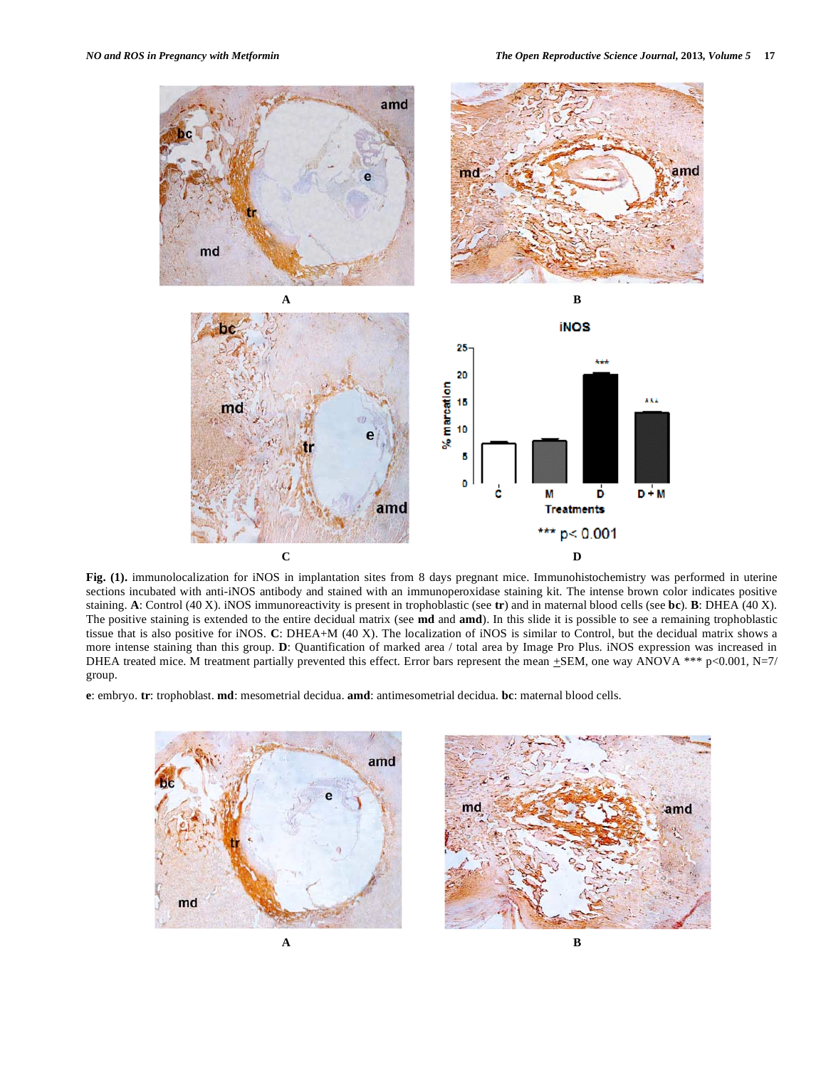

**Fig. (1).** immunolocalization for iNOS in implantation sites from 8 days pregnant mice. Immunohistochemistry was performed in uterine sections incubated with anti-iNOS antibody and stained with an immunoperoxidase staining kit. The intense brown color indicates positive staining. **A**: Control (40 X). iNOS immunoreactivity is present in trophoblastic (see **tr**) and in maternal blood cells (see **bc**). **B**: DHEA (40 X). The positive staining is extended to the entire decidual matrix (see **md** and **amd**). In this slide it is possible to see a remaining trophoblastic tissue that is also positive for iNOS. **C**: DHEA+M (40 X). The localization of iNOS is similar to Control, but the decidual matrix shows a more intense staining than this group. **D**: Quantification of marked area / total area by Image Pro Plus. iNOS expression was increased in DHEA treated mice. M treatment partially prevented this effect. Error bars represent the mean  $\pm$ SEM, one way ANOVA \*\*\* p<0.001, N=7/ group.

**e**: embryo. **tr**: trophoblast. **md**: mesometrial decidua. **amd**: antimesometrial decidua. **bc**: maternal blood cells.



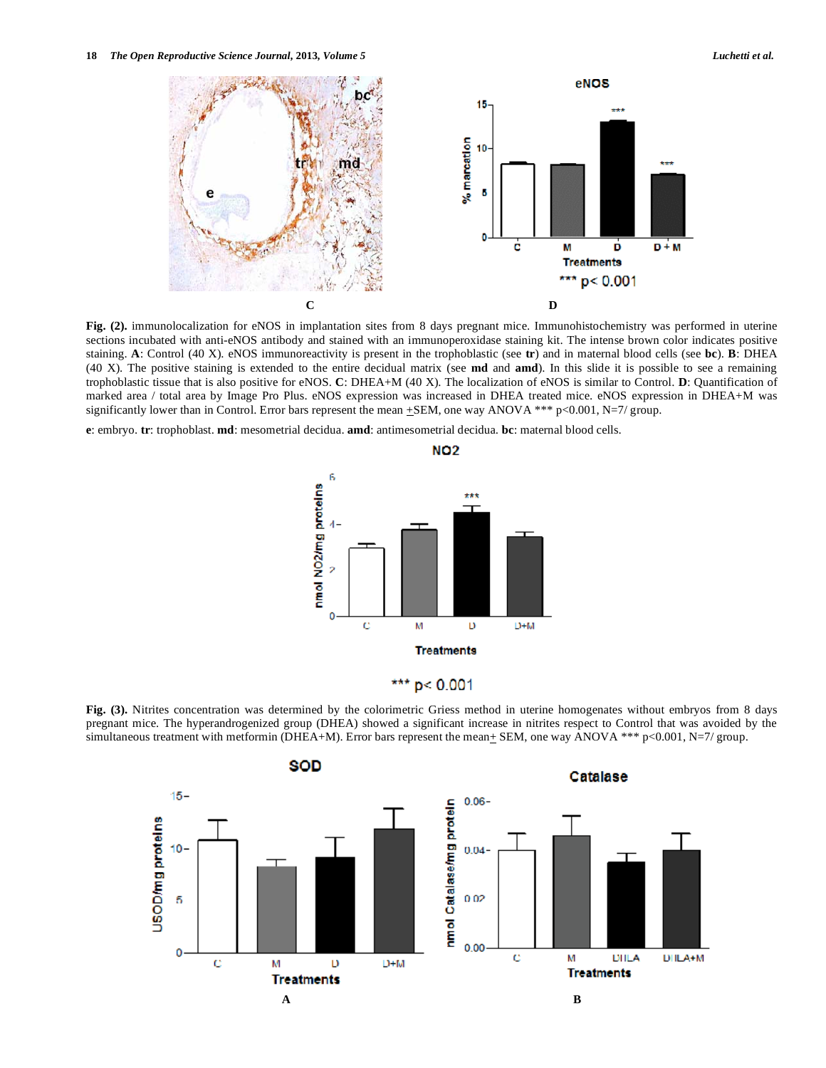

**Fig. (2).** immunolocalization for eNOS in implantation sites from 8 days pregnant mice. Immunohistochemistry was performed in uterine sections incubated with anti-eNOS antibody and stained with an immunoperoxidase staining kit. The intense brown color indicates positive staining. **A**: Control (40 X). eNOS immunoreactivity is present in the trophoblastic (see **tr**) and in maternal blood cells (see **bc**). **B**: DHEA (40 X). The positive staining is extended to the entire decidual matrix (see **md** and **amd**). In this slide it is possible to see a remaining trophoblastic tissue that is also positive for eNOS. **C**: DHEA+M (40 X). The localization of eNOS is similar to Control. **D**: Quantification of marked area / total area by Image Pro Plus. eNOS expression was increased in DHEA treated mice. eNOS expression in DHEA+M was significantly lower than in Control. Error bars represent the mean  $\pm$ SEM, one way ANOVA \*\*\* p<0.001, N=7/ group.

**e**: embryo. **tr**: trophoblast. **md**: mesometrial decidua. **amd**: antimesometrial decidua. **bc**: maternal blood cells.



**Fig. (3).** Nitrites concentration was determined by the colorimetric Griess method in uterine homogenates without embryos from 8 days pregnant mice. The hyperandrogenized group (DHEA) showed a significant increase in nitrites respect to Control that was avoided by the simultaneous treatment with metformin (DHEA+M). Error bars represent the mean $\pm$  SEM, one way ANOVA \*\*\* p<0.001, N=7/ group.

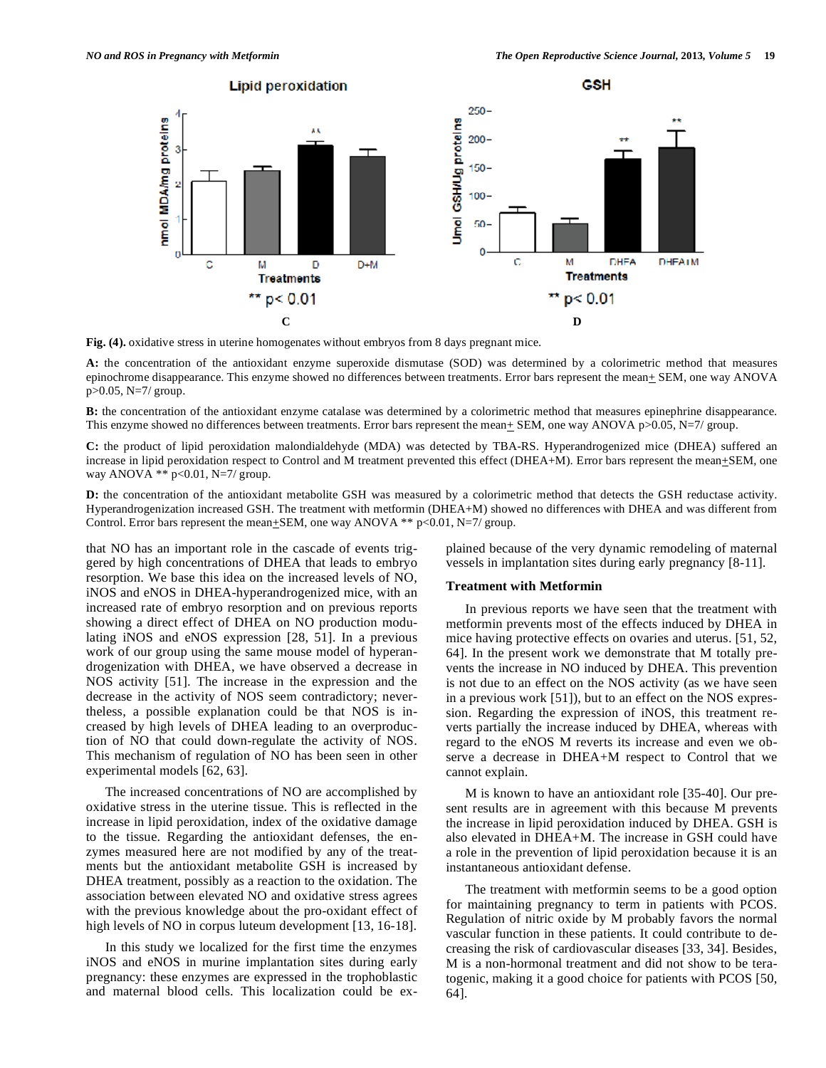

**Fig. (4).** oxidative stress in uterine homogenates without embryos from 8 days pregnant mice.

**A:** the concentration of the antioxidant enzyme superoxide dismutase (SOD) was determined by a colorimetric method that measures epinochrome disappearance. This enzyme showed no differences between treatments. Error bars represent the mean+ SEM, one way ANOVA p>0.05, N=7/ group.

**B:** the concentration of the antioxidant enzyme catalase was determined by a colorimetric method that measures epinephrine disappearance. This enzyme showed no differences between treatments. Error bars represent the mean $\pm$  SEM, one way ANOVA p>0.05, N=7/ group.

**C:** the product of lipid peroxidation malondialdehyde (MDA) was detected by TBA-RS. Hyperandrogenized mice (DHEA) suffered an increase in lipid peroxidation respect to Control and M treatment prevented this effect (DHEA+M). Error bars represent the mean $\pm$ SEM, one way ANOVA \*\* p<0.01, N=7/ group.

**D:** the concentration of the antioxidant metabolite GSH was measured by a colorimetric method that detects the GSH reductase activity. Hyperandrogenization increased GSH. The treatment with metformin (DHEA+M) showed no differences with DHEA and was different from Control. Error bars represent the mean $\pm$ SEM, one way ANOVA \*\* p<0.01, N=7/ group.

that NO has an important role in the cascade of events triggered by high concentrations of DHEA that leads to embryo resorption. We base this idea on the increased levels of NO, iNOS and eNOS in DHEA-hyperandrogenized mice, with an increased rate of embryo resorption and on previous reports showing a direct effect of DHEA on NO production modulating iNOS and eNOS expression [28, 51]. In a previous work of our group using the same mouse model of hyperandrogenization with DHEA, we have observed a decrease in NOS activity [51]. The increase in the expression and the decrease in the activity of NOS seem contradictory; nevertheless, a possible explanation could be that NOS is increased by high levels of DHEA leading to an overproduction of NO that could down-regulate the activity of NOS. This mechanism of regulation of NO has been seen in other experimental models [62, 63].

The increased concentrations of NO are accomplished by oxidative stress in the uterine tissue. This is reflected in the increase in lipid peroxidation, index of the oxidative damage to the tissue. Regarding the antioxidant defenses, the enzymes measured here are not modified by any of the treatments but the antioxidant metabolite GSH is increased by DHEA treatment, possibly as a reaction to the oxidation. The association between elevated NO and oxidative stress agrees with the previous knowledge about the pro-oxidant effect of high levels of NO in corpus luteum development [13, 16-18].

In this study we localized for the first time the enzymes iNOS and eNOS in murine implantation sites during early pregnancy: these enzymes are expressed in the trophoblastic and maternal blood cells. This localization could be explained because of the very dynamic remodeling of maternal vessels in implantation sites during early pregnancy [8-11].

# **Treatment with Metformin**

In previous reports we have seen that the treatment with metformin prevents most of the effects induced by DHEA in mice having protective effects on ovaries and uterus. [51, 52, 64]. In the present work we demonstrate that M totally prevents the increase in NO induced by DHEA. This prevention is not due to an effect on the NOS activity (as we have seen in a previous work [51]), but to an effect on the NOS expression. Regarding the expression of iNOS, this treatment reverts partially the increase induced by DHEA, whereas with regard to the eNOS M reverts its increase and even we observe a decrease in DHEA+M respect to Control that we cannot explain.

M is known to have an antioxidant role [35-40]. Our present results are in agreement with this because M prevents the increase in lipid peroxidation induced by DHEA. GSH is also elevated in DHEA+M. The increase in GSH could have a role in the prevention of lipid peroxidation because it is an instantaneous antioxidant defense.

The treatment with metformin seems to be a good option for maintaining pregnancy to term in patients with PCOS. Regulation of nitric oxide by M probably favors the normal vascular function in these patients. It could contribute to decreasing the risk of cardiovascular diseases [33, 34]. Besides, M is a non-hormonal treatment and did not show to be teratogenic, making it a good choice for patients with PCOS [50, 64].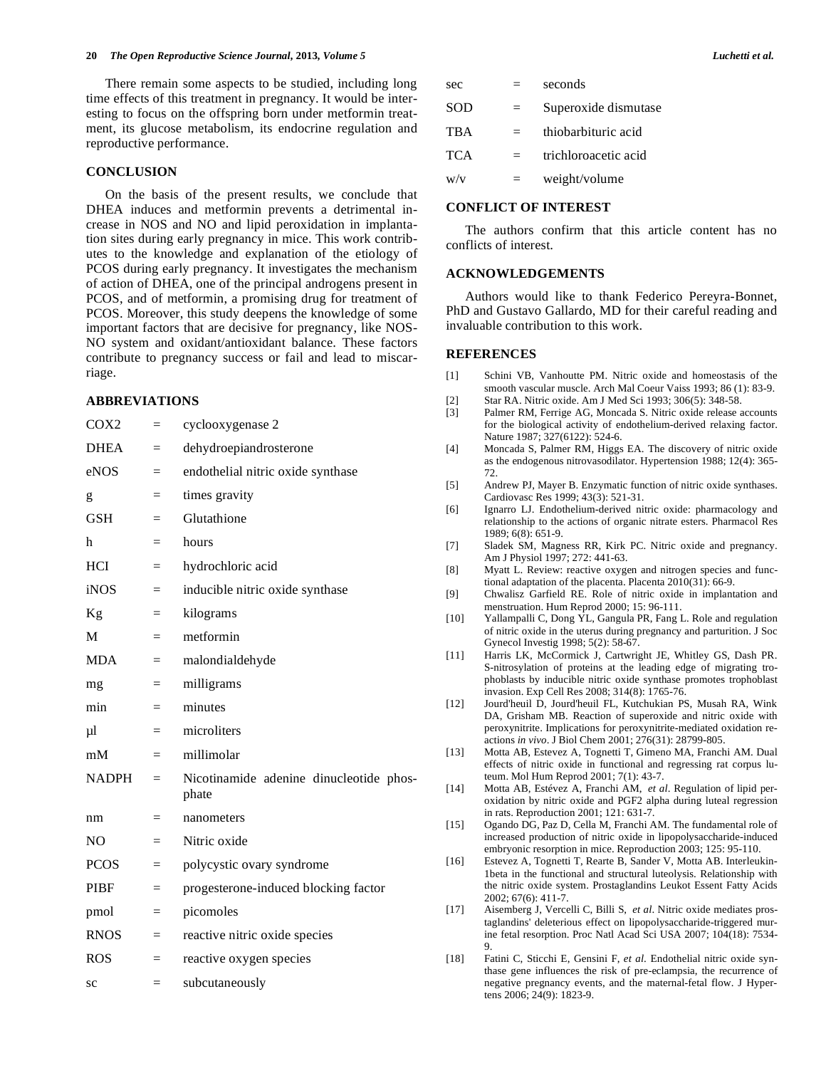There remain some aspects to be studied, including long time effects of this treatment in pregnancy. It would be interesting to focus on the offspring born under metformin treatment, its glucose metabolism, its endocrine regulation and reproductive performance.

# **CONCLUSION**

On the basis of the present results, we conclude that DHEA induces and metformin prevents a detrimental increase in NOS and NO and lipid peroxidation in implantation sites during early pregnancy in mice. This work contributes to the knowledge and explanation of the etiology of PCOS during early pregnancy. It investigates the mechanism of action of DHEA, one of the principal androgens present in PCOS, and of metformin, a promising drug for treatment of PCOS. Moreover, this study deepens the knowledge of some important factors that are decisive for pregnancy, like NOS-NO system and oxidant/antioxidant balance. These factors contribute to pregnancy success or fail and lead to miscarriage.

# **ABBREVIATIONS**

| COX <sub>2</sub> | $=$ | cyclooxygenase 2                                 |  |
|------------------|-----|--------------------------------------------------|--|
| <b>DHEA</b>      | $=$ | dehydroepiandrosterone                           |  |
| eNOS             | $=$ | endothelial nitric oxide synthase                |  |
| g                | $=$ | times gravity                                    |  |
| <b>GSH</b>       | $=$ | Glutathione                                      |  |
| h                | $=$ | hours                                            |  |
| <b>HCI</b>       | $=$ | hydrochloric acid                                |  |
| iNOS             | $=$ | inducible nitric oxide synthase                  |  |
| Kg               | $=$ | kilograms                                        |  |
| M                | $=$ | metformin                                        |  |
| <b>MDA</b>       | $=$ | malondialdehyde                                  |  |
| mg               | $=$ | milligrams                                       |  |
| min              | $=$ | minutes                                          |  |
| $\mu$ 1          | $=$ | microliters                                      |  |
| mM               | $=$ | millimolar                                       |  |
| <b>NADPH</b>     | $=$ | Nicotinamide adenine dinucleotide phos-<br>phate |  |
| nm               | $=$ | nanometers                                       |  |
| N <sub>O</sub>   | $=$ | Nitric oxide                                     |  |
| <b>PCOS</b>      | $=$ | polycystic ovary syndrome                        |  |
| <b>PIBF</b>      | $=$ | progesterone-induced blocking factor             |  |
| pmol             | $=$ | picomoles                                        |  |
| <b>RNOS</b>      | $=$ | reactive nitric oxide species                    |  |
| <b>ROS</b>       | $=$ | reactive oxygen species                          |  |
| SC               | $=$ | subcutaneously                                   |  |

| sec        |     | seconds              |
|------------|-----|----------------------|
| <b>SOD</b> | $=$ | Superoxide dismutase |
| <b>TBA</b> |     | thiobarbituric acid  |
| <b>TCA</b> |     | trichloroacetic acid |
| W/V        |     | weight/volume        |

# **CONFLICT OF INTEREST**

The authors confirm that this article content has no conflicts of interest.

# **ACKNOWLEDGEMENTS**

Authors would like to thank Federico Pereyra-Bonnet, PhD and Gustavo Gallardo, MD for their careful reading and invaluable contribution to this work.

# **REFERENCES**

- [1] Schini VB, Vanhoutte PM. Nitric oxide and homeostasis of the smooth vascular muscle. Arch Mal Coeur Vaiss 1993; 86 (1): 83-9.
- [2] Star RA. Nitric oxide. Am J Med Sci 1993; 306(5): 348-58.
- [3] Palmer RM, Ferrige AG, Moncada S. Nitric oxide release accounts for the biological activity of endothelium-derived relaxing factor. Nature 1987; 327(6122): 524-6.
- [4] Moncada S, Palmer RM, Higgs EA. The discovery of nitric oxide as the endogenous nitrovasodilator. Hypertension 1988; 12(4): 365- 72.
- [5] Andrew PJ, Mayer B. Enzymatic function of nitric oxide synthases. Cardiovasc Res 1999; 43(3): 521-31.
- [6] Ignarro LJ. Endothelium-derived nitric oxide: pharmacology and relationship to the actions of organic nitrate esters. Pharmacol Res 1989; 6(8): 651-9.
- [7] Sladek SM, Magness RR, Kirk PC. Nitric oxide and pregnancy. Am J Physiol 1997; 272: 441-63.
- [8] Myatt L. Review: reactive oxygen and nitrogen species and functional adaptation of the placenta. Placenta 2010(31): 66-9.
- [9] Chwalisz Garfield RE. Role of nitric oxide in implantation and menstruation. Hum Reprod 2000; 15: 96-111.
- [10] Yallampalli C, Dong YL, Gangula PR, Fang L. Role and regulation of nitric oxide in the uterus during pregnancy and parturition. J Soc Gynecol Investig 1998; 5(2): 58-67.
- [11] Harris LK, McCormick J, Cartwright JE, Whitley GS, Dash PR. S-nitrosylation of proteins at the leading edge of migrating trophoblasts by inducible nitric oxide synthase promotes trophoblast invasion. Exp Cell Res 2008; 314(8): 1765-76.
- [12] Jourd'heuil D, Jourd'heuil FL, Kutchukian PS, Musah RA, Wink DA, Grisham MB. Reaction of superoxide and nitric oxide with peroxynitrite. Implications for peroxynitrite-mediated oxidation reactions *in vivo*. J Biol Chem 2001; 276(31): 28799-805.
- [13] Motta AB, Estevez A, Tognetti T, Gimeno MA, Franchi AM. Dual effects of nitric oxide in functional and regressing rat corpus luteum. Mol Hum Reprod 2001; 7(1): 43-7.
- [14] Motta AB, Estévez A, Franchi AM, *et al*. Regulation of lipid peroxidation by nitric oxide and PGF2 alpha during luteal regression in rats. Reproduction 2001; 121: 631-7.
- [15] Ogando DG, Paz D, Cella M, Franchi AM. The fundamental role of increased production of nitric oxide in lipopolysaccharide-induced embryonic resorption in mice. Reproduction 2003; 125: 95-110.
- [16] Estevez A, Tognetti T, Rearte B, Sander V, Motta AB. Interleukin-1beta in the functional and structural luteolysis. Relationship with the nitric oxide system. Prostaglandins Leukot Essent Fatty Acids 2002; 67(6): 411-7.
- [17] Aisemberg J, Vercelli C, Billi S, *et al*. Nitric oxide mediates prostaglandins' deleterious effect on lipopolysaccharide-triggered murine fetal resorption. Proc Natl Acad Sci USA 2007; 104(18): 7534- 9.
- [18] Fatini C, Sticchi E, Gensini F, *et al*. Endothelial nitric oxide synthase gene influences the risk of pre-eclampsia, the recurrence of negative pregnancy events, and the maternal-fetal flow. J Hypertens 2006; 24(9): 1823-9.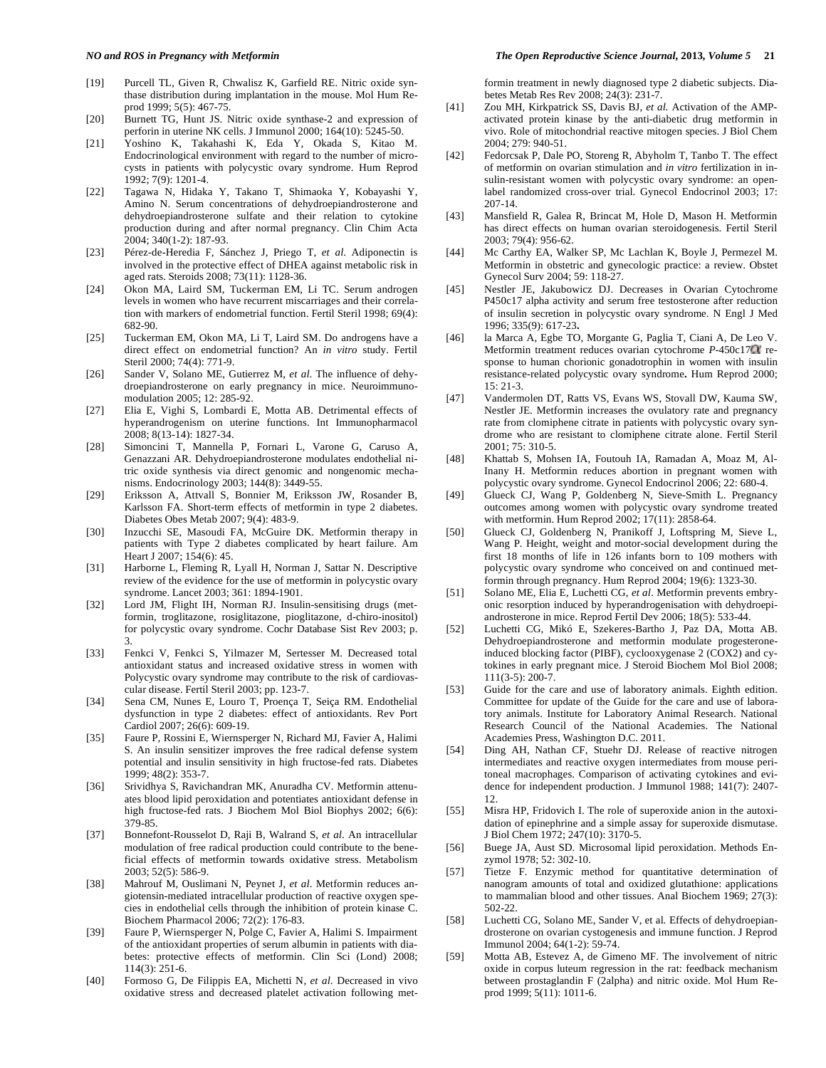- [19] Purcell TL, Given R, Chwalisz K, Garfield RE. Nitric oxide synthase distribution during implantation in the mouse. Mol Hum Reprod 1999; 5(5): 467-75.
- [20] Burnett TG, Hunt JS. Nitric oxide synthase-2 and expression of perforin in uterine NK cells. J Immunol 2000; 164(10): 5245-50.
- [21] Yoshino K, Takahashi K, Eda Y, Okada S, Kitao M. Endocrinological environment with regard to the number of microcysts in patients with polycystic ovary syndrome. Hum Reprod 1992; 7(9): 1201-4.
- [22] Tagawa N, Hidaka Y, Takano T, Shimaoka Y, Kobayashi Y, Amino N. Serum concentrations of dehydroepiandrosterone and dehydroepiandrosterone sulfate and their relation to cytokine production during and after normal pregnancy. Clin Chim Acta 2004; 340(1-2): 187-93.
- [23] Pérez-de-Heredia F, Sánchez J, Priego T, *et al*. Adiponectin is involved in the protective effect of DHEA against metabolic risk in aged rats. Steroids 2008; 73(11): 1128-36.
- [24] Okon MA, Laird SM, Tuckerman EM, Li TC. Serum androgen levels in women who have recurrent miscarriages and their correlation with markers of endometrial function. Fertil Steril 1998; 69(4): 682-90.
- [25] Tuckerman EM, Okon MA, Li T, Laird SM. Do androgens have a direct effect on endometrial function? An *in vitro* study. Fertil Steril 2000; 74(4): 771-9.
- [26] Sander V, Solano ME, Gutierrez M, *et al*. The influence of dehydroepiandrosterone on early pregnancy in mice. Neuroimmunomodulation 2005; 12: 285-92.
- [27] Elia E, Vighi S, Lombardi E, Motta AB. Detrimental effects of hyperandrogenism on uterine functions. Int Immunopharmacol 2008; 8(13-14): 1827-34.
- [28] Simoncini T, Mannella P, Fornari L, Varone G, Caruso A, Genazzani AR. Dehydroepiandrosterone modulates endothelial nitric oxide synthesis via direct genomic and nongenomic mechanisms. Endocrinology 2003; 144(8): 3449-55.
- [29] Eriksson A, Attvall S, Bonnier M, Eriksson JW, Rosander B, Karlsson FA. Short-term effects of metformin in type 2 diabetes. Diabetes Obes Metab 2007; 9(4): 483-9.
- [30] Inzucchi SE, Masoudi FA, McGuire DK. Metformin therapy in patients with Type 2 diabetes complicated by heart failure. Am Heart J 2007; 154(6): 45.
- [31] Harborne L, Fleming R, Lyall H, Norman J, Sattar N. Descriptive review of the evidence for the use of metformin in polycystic ovary syndrome. Lancet 2003; 361: 1894-1901.
- [32] Lord JM, Flight IH, Norman RJ. Insulin-sensitising drugs (metformin, troglitazone, rosiglitazone, pioglitazone, d-chiro-inositol) for polycystic ovary syndrome. Cochr Database Sist Rev 2003; p. 3.
- [33] Fenkci V, Fenkci S, Yilmazer M, Sertesser M. Decreased total antioxidant status and increased oxidative stress in women with Polycystic ovary syndrome may contribute to the risk of cardiovascular disease. Fertil Steril 2003; pp. 123-7.
- [34] Sena CM, Nunes E, Louro T, Proença T, Seiça RM. Endothelial dysfunction in type 2 diabetes: effect of antioxidants. Rev Port Cardiol 2007; 26(6): 609-19.
- [35] Faure P, Rossini E, Wiernsperger N, Richard MJ, Favier A, Halimi S. An insulin sensitizer improves the free radical defense system potential and insulin sensitivity in high fructose-fed rats. Diabetes 1999; 48(2): 353-7.
- [36] Srividhya S, Ravichandran MK, Anuradha CV. Metformin attenuates blood lipid peroxidation and potentiates antioxidant defense in high fructose-fed rats. J Biochem Mol Biol Biophys 2002; 6(6): 379-85.
- [37] Bonnefont-Rousselot D, Raji B, Walrand S, *et al*. An intracellular modulation of free radical production could contribute to the beneficial effects of metformin towards oxidative stress. Metabolism 2003; 52(5): 586-9.
- [38] Mahrouf M, Ouslimani N, Peynet J, *et al*. Metformin reduces angiotensin-mediated intracellular production of reactive oxygen species in endothelial cells through the inhibition of protein kinase C. Biochem Pharmacol 2006; 72(2): 176-83.
- [39] Faure P, Wiernsperger N, Polge C, Favier A, Halimi S. Impairment of the antioxidant properties of serum albumin in patients with diabetes: protective effects of metformin. Clin Sci (Lond) 2008; 114(3): 251-6.
- [40] Formoso G, De Filippis EA, Michetti N, *et al*. Decreased in vivo oxidative stress and decreased platelet activation following met-

#### *NO and ROS in Pregnancy with Metformin The Open Reproductive Science Journal,* **2013***, Volume 5* **21**

formin treatment in newly diagnosed type 2 diabetic subjects. Diabetes Metab Res Rev 2008; 24(3): 231-7.

- [41] Zou MH, Kirkpatrick SS, Davis BJ, *et al.* Activation of the AMPactivated protein kinase by the anti-diabetic drug metformin in vivo. Role of mitochondrial reactive mitogen species. J Biol Chem 2004; 279: 940-51.
- [42] Fedorcsak P, Dale PO, Storeng R, Abyholm T, Tanbo T. The effect of metformin on ovarian stimulation and *in vitro* fertilization in insulin-resistant women with polycystic ovary syndrome: an openlabel randomized cross-over trial. Gynecol Endocrinol 2003; 17: 207-14.
- [43] Mansfield R, Galea R, Brincat M, Hole D, Mason H. Metformin has direct effects on human ovarian steroidogenesis. Fertil Steril 2003; 79(4): 956-62.
- [44] Mc Carthy EA, Walker SP, Mc Lachlan K, Boyle J, Permezel M. Metformin in obstetric and gynecologic practice: a review. Obstet Gynecol Surv 2004; 59: 118-27.
- [45] Nestler JE, Jakubowicz DJ. Decreases in Ovarian Cytochrome P450c17 alpha activity and serum free testosterone after reduction of insulin secretion in polycystic ovary syndrome. N Engl J Med 1996; 335(9): 617-23**.**
- [46] la Marca A, Egbe TO, Morgante G, Paglia T, Ciani A, De Leo V. Metformin treatment reduces ovarian cytochrome *P*-450c17<sup>*r*</sup> response to human chorionic gonadotrophin in women with insulin resistance-related polycystic ovary syndrome**.** Hum Reprod 2000; 15: 21-3.
- [47] Vandermolen DT, Ratts VS, Evans WS, Stovall DW, Kauma SW, Nestler JE. Metformin increases the ovulatory rate and pregnancy rate from clomiphene citrate in patients with polycystic ovary syndrome who are resistant to clomiphene citrate alone. Fertil Steril 2001; 75: 310-5.
- [48] Khattab S, Mohsen IA, Foutouh IA, Ramadan A, Moaz M, Al-Inany H. Metformin reduces abortion in pregnant women with polycystic ovary syndrome. Gynecol Endocrinol 2006; 22: 680-4.
- [49] Glueck CJ, Wang P, Goldenberg N, Sieve-Smith L. Pregnancy outcomes among women with polycystic ovary syndrome treated with metformin. Hum Reprod 2002; 17(11): 2858-64.
- [50] Glueck CJ, Goldenberg N, Pranikoff J, Loftspring M, Sieve L, Wang P. Height, weight and motor-social development during the first 18 months of life in 126 infants born to 109 mothers with polycystic ovary syndrome who conceived on and continued metformin through pregnancy. Hum Reprod 2004; 19(6): 1323-30.
- [51] Solano ME, Elia E, Luchetti CG, *et al*. Metformin prevents embryonic resorption induced by hyperandrogenisation with dehydroepiandrosterone in mice. Reprod Fertil Dev 2006; 18(5): 533-44.
- [52] Luchetti CG, Mikó E, Szekeres-Bartho J, Paz DA, Motta AB. Dehydroepiandrosterone and metformin modulate progesteroneinduced blocking factor (PIBF), cyclooxygenase 2 (COX2) and cytokines in early pregnant mice. J Steroid Biochem Mol Biol 2008; 111(3-5): 200-7.
- [53] Guide for the care and use of laboratory animals. Eighth edition. Committee for update of the Guide for the care and use of laboratory animals. Institute for Laboratory Animal Research. National Research Council of the National Academies. The National Academies Press, Washington D.C. 2011.
- [54] Ding AH, Nathan CF, Stuehr DJ. Release of reactive nitrogen intermediates and reactive oxygen intermediates from mouse peritoneal macrophages. Comparison of activating cytokines and evidence for independent production. J Immunol 1988; 141(7): 2407- 12.
- [55] Misra HP, Fridovich I. The role of superoxide anion in the autoxidation of epinephrine and a simple assay for superoxide dismutase. J Biol Chem 1972; 247(10): 3170-5.
- [56] Buege JA, Aust SD. Microsomal lipid peroxidation. Methods Enzymol 1978; 52: 302-10.
- [57] Tietze F. Enzymic method for quantitative determination of nanogram amounts of total and oxidized glutathione: applications to mammalian blood and other tissues. Anal Biochem 1969; 27(3): 502-22.
- [58] Luchetti CG, Solano ME, Sander V, et al*.* Effects of dehydroepiandrosterone on ovarian cystogenesis and immune function. J Reprod Immunol 2004; 64(1-2): 59-74.
- [59] Motta AB, Estevez A, de Gimeno MF. The involvement of nitric oxide in corpus luteum regression in the rat: feedback mechanism between prostaglandin F (2alpha) and nitric oxide. Mol Hum Reprod 1999; 5(11): 1011-6.